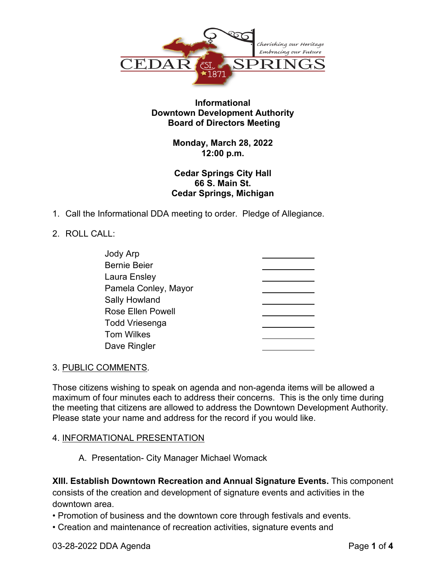

# **Informational Downtown Development Authority Board of Directors Meeting**

# **Monday, March 28, 2022 12:00 p.m.**

# **Cedar Springs City Hall 66 S. Main St. Cedar Springs, Michigan**

1. Call the Informational DDA meeting to order. Pledge of Allegiance.

# 2. ROLL CALL:

| Jody Arp                 |  |
|--------------------------|--|
| <b>Bernie Beier</b>      |  |
| Laura Ensley             |  |
| Pamela Conley, Mayor     |  |
| <b>Sally Howland</b>     |  |
| <b>Rose Ellen Powell</b> |  |
| <b>Todd Vriesenga</b>    |  |
| <b>Tom Wilkes</b>        |  |
| Dave Ringler             |  |

### 3. PUBLIC COMMENTS.

Those citizens wishing to speak on agenda and non-agenda items will be allowed a maximum of four minutes each to address their concerns. This is the only time during the meeting that citizens are allowed to address the Downtown Development Authority. Please state your name and address for the record if you would like.

# 4. INFORMATIONAL PRESENTATION

A. Presentation- City Manager Michael Womack

**XIII. Establish Downtown Recreation and Annual Signature Events.** This component consists of the creation and development of signature events and activities in the downtown area.

- Promotion of business and the downtown core through festivals and events.
- Creation and maintenance of recreation activities, signature events and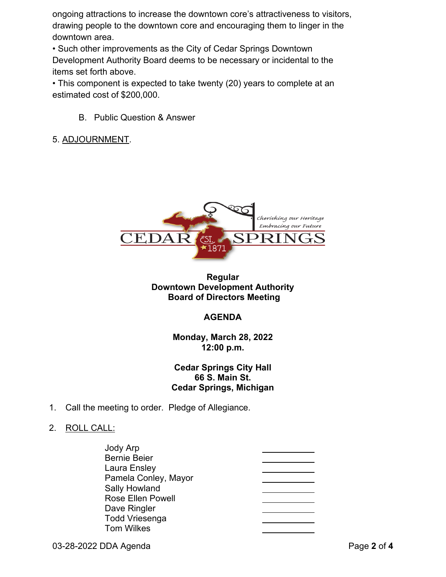ongoing attractions to increase the downtown core's attractiveness to visitors, drawing people to the downtown core and encouraging them to linger in the downtown area.

• Such other improvements as the City of Cedar Springs Downtown Development Authority Board deems to be necessary or incidental to the items set forth above.

• This component is expected to take twenty (20) years to complete at an estimated cost of \$200,000.

B. Public Question & Answer

# 5. ADJOURNMENT.



### **Regular Downtown Development Authority Board of Directors Meeting**

### **AGENDA**

**Monday, March 28, 2022 12:00 p.m.**

# **Cedar Springs City Hall 66 S. Main St. Cedar Springs, Michigan**

1. Call the meeting to order. Pledge of Allegiance.

### 2. ROLL CALL:

| Jody Arp                 |  |
|--------------------------|--|
| <b>Bernie Beier</b>      |  |
| Laura Ensley             |  |
| Pamela Conley, Mayor     |  |
| <b>Sally Howland</b>     |  |
| <b>Rose Ellen Powell</b> |  |
| Dave Ringler             |  |
| <b>Todd Vriesenga</b>    |  |
| <b>Tom Wilkes</b>        |  |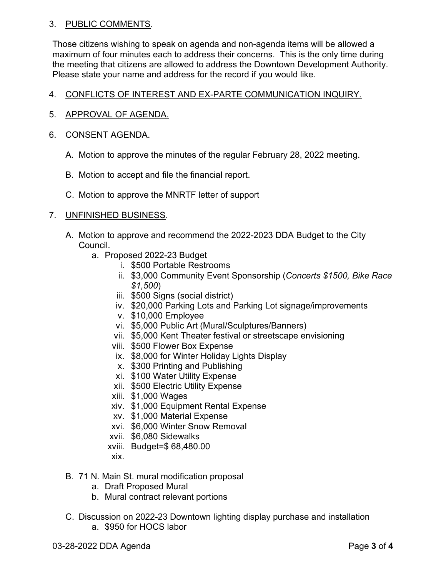### 3. PUBLIC COMMENTS.

Those citizens wishing to speak on agenda and non-agenda items will be allowed a maximum of four minutes each to address their concerns. This is the only time during the meeting that citizens are allowed to address the Downtown Development Authority. Please state your name and address for the record if you would like.

# 4. CONFLICTS OF INTEREST AND EX-PARTE COMMUNICATION INQUIRY.

5. APPROVAL OF AGENDA.

### 6. CONSENT AGENDA.

- A. Motion to approve the minutes of the regular February 28, 2022 meeting.
- B. Motion to accept and file the financial report.
- C. Motion to approve the MNRTF letter of support

# 7. UNFINISHED BUSINESS.

- A. Motion to approve and recommend the 2022-2023 DDA Budget to the City Council.
	- a. Proposed 2022-23 Budget
		- i. \$500 Portable Restrooms
		- ii. \$3,000 Community Event Sponsorship (*Concerts \$1500, Bike Race \$1,500*)
		- iii. \$500 Signs (social district)
		- iv. \$20,000 Parking Lots and Parking Lot signage/improvements
		- v. \$10,000 Employee
		- vi. \$5,000 Public Art (Mural/Sculptures/Banners)
		- vii. \$5,000 Kent Theater festival or streetscape envisioning
		- viii. \$500 Flower Box Expense
		- ix. \$8,000 for Winter Holiday Lights Display
		- x. \$300 Printing and Publishing
		- xi. \$100 Water Utility Expense
		- xii. \$500 Electric Utility Expense
		- xiii. \$1,000 Wages
		- xiv. \$1,000 Equipment Rental Expense
		- xv. \$1,000 Material Expense
		- xvi. \$6,000 Winter Snow Removal
		- xvii. \$6,080 Sidewalks
		- xviii. Budget=\$ 68,480.00
		- xix.
- B. 71 N. Main St. mural modification proposal
	- a. Draft Proposed Mural
	- b. Mural contract relevant portions
- C. Discussion on 2022-23 Downtown lighting display purchase and installation a. \$950 for HOCS labor